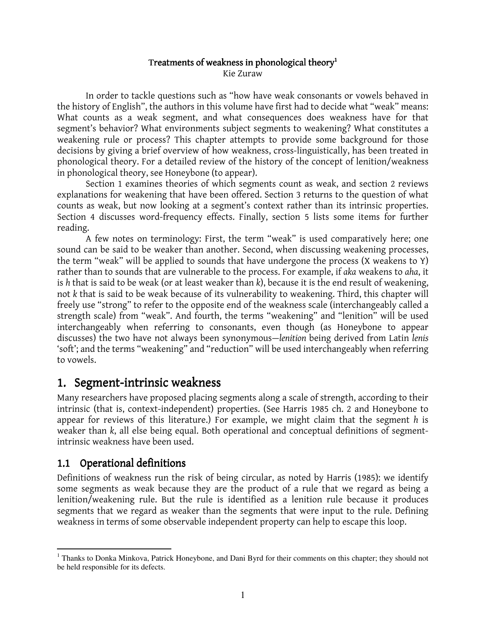#### Treatments of weakness in phonological theory<sup>1</sup>

Kie Zuraw

In order to tackle questions such as "how have weak consonants or vowels behaved in the history of English", the authors in this volume have first had to decide what "weak" means: What counts as a weak segment, and what consequences does weakness have for that segment's behavior? What environments subject segments to weakening? What constitutes a weakening rule or process? This chapter attempts to provide some background for those decisions by giving a brief overview of how weakness, cross-linguistically, has been treated in phonological theory. For a detailed review of the history of the concept of lenition/weakness in phonological theory, see Honeybone (to appear).

Section 1 examines theories of which segments count as weak, and section 2 reviews explanations for weakening that have been offered. Section 3 returns to the question of what counts as weak, but now looking at a segment's context rather than its intrinsic properties. Section 4 discusses word-frequency effects. Finally, section 5 lists some items for further reading.

A few notes on terminology: First, the term "weak" is used comparatively here; one sound can be said to be weaker than another. Second, when discussing weakening processes, the term "weak" will be applied to sounds that have undergone the process (X weakens to Y) rather than to sounds that are vulnerable to the process. For example, if aka weakens to aha, it is h that is said to be weak (or at least weaker than k), because it is the end result of weakening, not k that is said to be weak because of its vulnerability to weakening. Third, this chapter will freely use "strong" to refer to the opposite end of the weakness scale (interchangeably called a strength scale) from "weak". And fourth, the terms "weakening" and "lenition" will be used interchangeably when referring to consonants, even though (as Honeybone to appear discusses) the two have not always been synonymous—lenition being derived from Latin lenis 'soft'; and the terms "weakening" and "reduction" will be used interchangeably when referring to vowels.

## 1. Segment-intrinsic weakness

Many researchers have proposed placing segments along a scale of strength, according to their intrinsic (that is, context-independent) properties. (See Harris 1985 ch. 2 and Honeybone to appear for reviews of this literature.) For example, we might claim that the segment h is weaker than k, all else being equal. Both operational and conceptual definitions of segmentintrinsic weakness have been used.

## 1.1 Operational definitions

Definitions of weakness run the risk of being circular, as noted by Harris (1985): we identify some segments as weak because they are the product of a rule that we regard as being a lenition/weakening rule. But the rule is identified as a lenition rule because it produces segments that we regard as weaker than the segments that were input to the rule. Defining weakness in terms of some observable independent property can help to escape this loop.

<sup>&</sup>lt;sup>1</sup> Thanks to Donka Minkova, Patrick Honeybone, and Dani Byrd for their comments on this chapter; they should not be held responsible for its defects.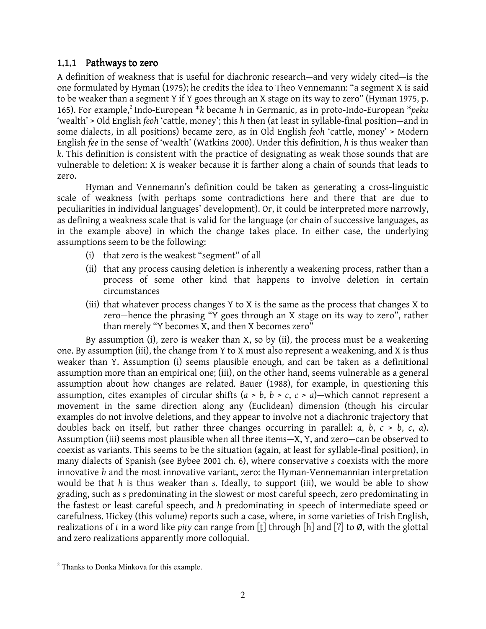#### 1.1.1 Pathways to zero

A definition of weakness that is useful for diachronic research—and very widely cited—is the one formulated by Hyman (1975); he credits the idea to Theo Vennemann: "a segment X is said to be weaker than a segment Y if Y goes through an X stage on its way to zero" (Hyman 1975, p. 165). For example,<sup>2</sup> Indo-European \*k became h in Germanic, as in proto-Indo-European \*peku 'wealth' > Old English feoh 'cattle, money'; this h then (at least in syllable-final position—and in some dialects, in all positions) became zero, as in Old English feoh 'cattle, money' > Modern English fee in the sense of 'wealth' (Watkins 2000). Under this definition, h is thus weaker than k. This definition is consistent with the practice of designating as weak those sounds that are vulnerable to deletion: X is weaker because it is farther along a chain of sounds that leads to zero.

Hyman and Vennemann's definition could be taken as generating a cross-linguistic scale of weakness (with perhaps some contradictions here and there that are due to peculiarities in individual languages' development). Or, it could be interpreted more narrowly, as defining a weakness scale that is valid for the language (or chain of successive languages, as in the example above) in which the change takes place. In either case, the underlying assumptions seem to be the following:

- (i) that zero is the weakest "segment" of all
- (ii) that any process causing deletion is inherently a weakening process, rather than a process of some other kind that happens to involve deletion in certain circumstances
- (iii) that whatever process changes Y to X is the same as the process that changes X to zero-hence the phrasing "Y goes through an X stage on its way to zero", rather than merely "Y becomes X, and then X becomes zero"

By assumption (i), zero is weaker than X, so by (ii), the process must be a weakening one. By assumption (iii), the change from Y to X must also represent a weakening, and X is thus weaker than Y. Assumption (i) seems plausible enough, and can be taken as a definitional assumption more than an empirical one; (iii), on the other hand, seems vulnerable as a general assumption about how changes are related. Bauer (1988), for example, in questioning this assumption, cites examples of circular shifts ( $a > b$ ,  $b > c$ ,  $c > a$ )—which cannot represent a movement in the same direction along any (Euclidean) dimension (though his circular examples do not involve deletions, and they appear to involve not a diachronic trajectory that doubles back on itself, but rather three changes occurring in parallel:  $a, b, c > b, c, a$ ). Assumption (iii) seems most plausible when all three items-X, Y, and zero-can be observed to coexist as variants. This seems to be the situation (again, at least for syllable-final position), in many dialects of Spanish (see Bybee 2001 ch. 6), where conservative s coexists with the more innovative h and the most innovative variant, zero: the Hyman-Vennemannian interpretation would be that h is thus weaker than s. Ideally, to support (iii), we would be able to show grading, such as s predominating in the slowest or most careful speech, zero predominating in the fastest or least careful speech, and h predominating in speech of intermediate speed or carefulness. Hickey (this volume) reports such a case, where, in some varieties of Irish English, realizations of t in a word like pity can range from [t̪] through [h] and [ʔ] to Ø, with the glottal and zero realizations apparently more colloquial.

 $2$  Thanks to Donka Minkova for this example.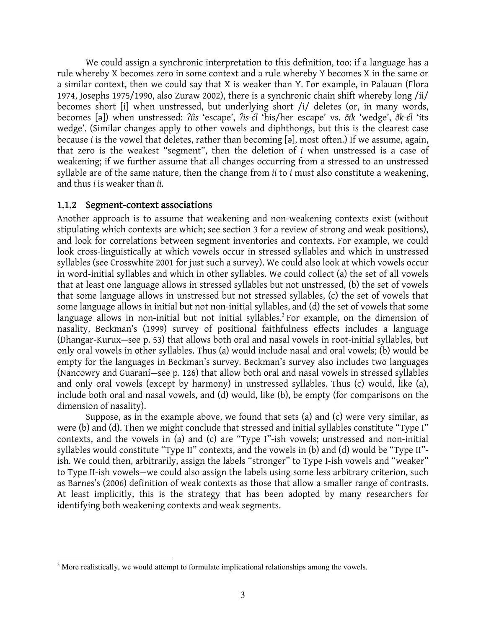We could assign a synchronic interpretation to this definition, too: if a language has a rule whereby X becomes zero in some context and a rule whereby Y becomes X in the same or a similar context, then we could say that X is weaker than Y. For example, in Palauan (Flora 1974, Josephs 1975/1990, also Zuraw 2002), there is a synchronic chain shift whereby long /ii/ becomes short [i] when unstressed, but underlying short /i/ deletes (or, in many words, becomes [a]) when unstressed: *îtis* 'escape', *îts-él* 'his/her escape' vs.  $\delta$ ik 'wedge',  $\delta$ k-él 'its wedge'. (Similar changes apply to other vowels and diphthongs, but this is the clearest case because *i* is the vowel that deletes, rather than becoming  $\lceil a \rceil$ , most often.) If we assume, again, that zero is the weakest "segment", then the deletion of *i* when unstressed is a case of weakening; if we further assume that all changes occurring from a stressed to an unstressed syllable are of the same nature, then the change from *ii* to *i* must also constitute a weakening, and thus *i* is weaker than *ii*.

#### 1.1.2 Segment-context associations

Another approach is to assume that weakening and non-weakening contexts exist (without stipulating which contexts are which; see section 3 for a review of strong and weak positions), and look for correlations between segment inventories and contexts. For example, we could look cross-linguistically at which vowels occur in stressed syllables and which in unstressed syllables (see Crosswhite 2001 for just such a survey). We could also look at which vowels occur in word-initial syllables and which in other syllables. We could collect (a) the set of all vowels that at least one language allows in stressed syllables but not unstressed, (b) the set of vowels that some language allows in unstressed but not stressed syllables, (c) the set of vowels that some language allows in initial but not non-initial syllables, and (d) the set of vowels that some language allows in non-initial but not initial syllables.<sup>3</sup> For example, on the dimension of nasality, Beckman's (1999) survey of positional faithfulness effects includes a language (Dhangar-Kurux-see p. 53) that allows both oral and nasal vowels in root-initial syllables, but only oral vowels in other syllables. Thus (a) would include nasal and oral vowels; (b) would be empty for the languages in Beckman's survey. Beckman's survey also includes two languages (Nancowry and Guaraní-see p. 126) that allow both oral and nasal vowels in stressed syllables and only oral vowels (except by harmony) in unstressed syllables. Thus (c) would, like (a), include both oral and nasal vowels, and (d) would, like (b), be empty (for comparisons on the dimension of nasality).

Suppose, as in the example above, we found that sets (a) and (c) were very similar, as were (b) and (d). Then we might conclude that stressed and initial syllables constitute "Type I" contexts, and the vowels in (a) and (c) are "Type I"-ish vowels; unstressed and non-initial syllables would constitute "Type II" contexts, and the vowels in (b) and (d) would be "Type II"ish. We could then, arbitrarily, assign the labels "stronger" to Type I-ish vowels and "weaker" to Type II-ish vowels—we could also assign the labels using some less arbitrary criterion, such as Barnes's (2006) definition of weak contexts as those that allow a smaller range of contrasts. At least implicitly, this is the strategy that has been adopted by many researchers for identifying both weakening contexts and weak segments.

<sup>&</sup>lt;sup>3</sup> More realistically, we would attempt to formulate implicational relationships among the vowels.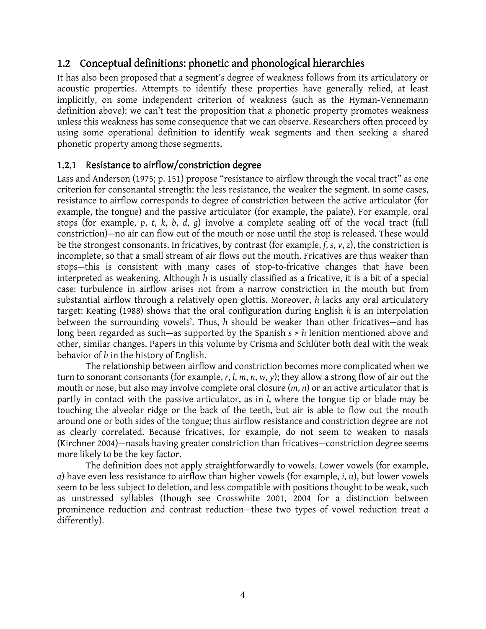## 1.2 Conceptual definitions: phonetic and phonological hierarchies

It has also been proposed that a segment's degree of weakness follows from its articulatory or acoustic properties. Attempts to identify these properties have generally relied, at least implicitly, on some independent criterion of weakness (such as the Hyman-Vennemann definition above): we can't test the proposition that a phonetic property promotes weakness unless this weakness has some consequence that we can observe. Researchers often proceed by using some operational definition to identify weak segments and then seeking a shared phonetic property among those segments.

## 1.2.1 Resistance to airflow/constriction degree

Lass and Anderson (1975; p. 151) propose "resistance to airflow through the vocal tract" as one criterion for consonantal strength: the less resistance, the weaker the segment. In some cases, resistance to airflow corresponds to degree of constriction between the active articulator (for example, the tongue) and the passive articulator (for example, the palate). For example, oral stops (for example,  $p$ ,  $t$ ,  $k$ ,  $b$ ,  $d$ ,  $q$ ) involve a complete sealing off of the vocal tract (full constriction)-no air can flow out of the mouth or nose until the stop is released. These would be the strongest consonants. In fricatives, by contrast (for example,  $f$ ,  $s$ ,  $v$ ,  $z$ ), the constriction is incomplete, so that a small stream of air flows out the mouth. Fricatives are thus weaker than stops-this is consistent with many cases of stop-to-fricative changes that have been interpreted as weakening. Although h is usually classified as a fricative, it is a bit of a special case: turbulence in airflow arises not from a narrow constriction in the mouth but from substantial airflow through a relatively open glottis. Moreover, h lacks any oral articulatory target: Keating (1988) shows that the oral configuration during English h is an interpolation between the surrounding vowels'. Thus, h should be weaker than other fricatives—and has long been regarded as such—as supported by the Spanish  $s > h$  lenition mentioned above and other, similar changes. Papers in this volume by Crisma and Schlüter both deal with the weak behavior of h in the history of English.

The relationship between airflow and constriction becomes more complicated when we turn to sonorant consonants (for example,  $r$ ,  $l$ ,  $m$ ,  $n$ ,  $w$ ,  $y$ ); they allow a strong flow of air out the mouth or nose, but also may involve complete oral closure  $(m, n)$  or an active articulator that is partly in contact with the passive articulator, as in l, where the tongue tip or blade may be touching the alveolar ridge or the back of the teeth, but air is able to flow out the mouth around one or both sides of the tongue; thus airflow resistance and constriction degree are not as clearly correlated. Because fricatives, for example, do not seem to weaken to nasals (Kirchner 2004)—nasals having greater constriction than fricatives—constriction degree seems more likely to be the key factor.

The definition does not apply straightforwardly to vowels. Lower vowels (for example, a) have even less resistance to airflow than higher vowels (for example,  $i$ ,  $u$ ), but lower vowels seem to be less subject to deletion, and less compatible with positions thought to be weak, such as unstressed syllables (though see Crosswhite 2001, 2004 for a distinction between prominence reduction and contrast reduction-these two types of vowel reduction treat a differently).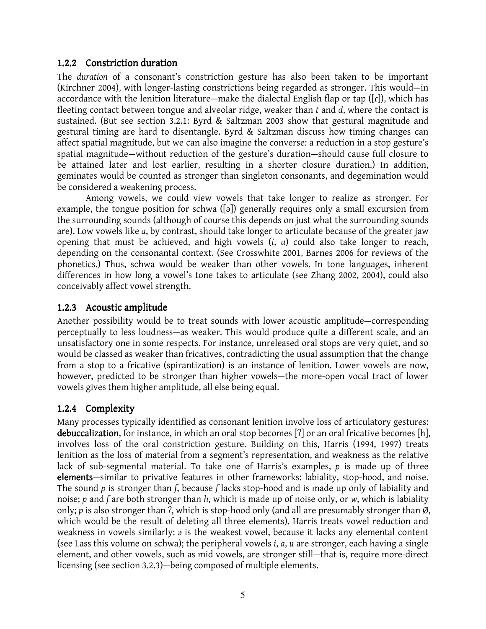### 1.2.2 Constriction duration

The duration of a consonant's constriction gesture has also been taken to be important (Kirchner 2004), with longer-lasting constrictions being regarded as stronger. This would—in accordance with the lenition literature—make the dialectal English flap or tap ( $\lceil \frac{r}{r} \rceil$ ), which has fleeting contact between tongue and alveolar ridge, weaker than t and d, where the contact is sustained. (But see section 3.2.1: Byrd & Saltzman 2003 show that gestural magnitude and gestural timing are hard to disentangle. Byrd & Saltzman discuss how timing changes can affect spatial magnitude, but we can also imagine the converse: a reduction in a stop gesture's spatial magnitude—without reduction of the gesture's duration—should cause full closure to be attained later and lost earlier, resulting in a shorter closure duration.) In addition, geminates would be counted as stronger than singleton consonants, and degemination would be considered a weakening process.

Among vowels, we could view vowels that take longer to realize as stronger. For example, the tongue position for schwa ([a]) generally requires only a small excursion from the surrounding sounds (although of course this depends on just what the surrounding sounds are). Low vowels like a, by contrast, should take longer to articulate because of the greater jaw opening that must be achieved, and high vowels  $(i, u)$  could also take longer to reach, depending on the consonantal context. (See Crosswhite 2001, Barnes 2006 for reviews of the phonetics.) Thus, schwa would be weaker than other vowels. In tone languages, inherent differences in how long a vowel's tone takes to articulate (see Zhang 2002, 2004), could also conceivably affect vowel strength.

## 1.2.3 Acoustic amplitude

Another possibility would be to treat sounds with lower acoustic amplitude–corresponding perceptually to less loudness-as weaker. This would produce quite a different scale, and an unsatisfactory one in some respects. For instance, unreleased oral stops are very quiet, and so would be classed as weaker than fricatives, contradicting the usual assumption that the change from a stop to a fricative (spirantization) is an instance of lenition. Lower vowels are now, however, predicted to be stronger than higher vowels—the more-open vocal tract of lower vowels gives them higher amplitude, all else being equal.

## 1.2.4 Complexity

Many processes typically identified as consonant lenition involve loss of articulatory gestures: debuccalization, for instance, in which an oral stop becomes [7] or an oral fricative becomes [h], involves loss of the oral constriction gesture. Building on this, Harris (1994, 1997) treats lenition as the loss of material from a segment's representation, and weakness as the relative lack of sub-segmental material. To take one of Harris's examples, p is made up of three elements—similar to privative features in other frameworks: labiality, stop-hood, and noise. The sound p is stronger than f, because f lacks stop-hood and is made up only of labiality and noise; p and f are both stronger than h, which is made up of noise only, or w, which is labiality only; p is also stronger than 7, which is stop-hood only (and all are presumably stronger than  $\varnothing$ , which would be the result of deleting all three elements). Harris treats vowel reduction and weakness in vowels similarly:  $\delta$  is the weakest vowel, because it lacks any elemental content (see Lass this volume on schwa); the peripheral vowels *i*, *a*, *u* are stronger, each having a single element, and other vowels, such as mid vowels, are stronger still—that is, require more-direct licensing (see section 3.2.3)—being composed of multiple elements.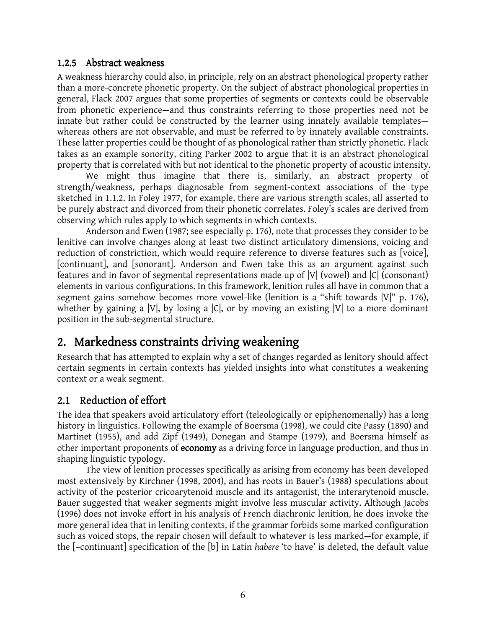#### 1.2.5 Abstract weakness

A weakness hierarchy could also, in principle, rely on an abstract phonological property rather than a more-concrete phonetic property. On the subject of abstract phonological properties in general, Flack 2007 argues that some properties of segments or contexts could be observable from phonetic experience—and thus constraints referring to those properties need not be innate but rather could be constructed by the learner using innately available templates whereas others are not observable, and must be referred to by innately available constraints. These latter properties could be thought of as phonological rather than strictly phonetic. Flack takes as an example sonority, citing Parker 2002 to argue that it is an abstract phonological property that is correlated with but not identical to the phonetic property of acoustic intensity.

We might thus imagine that there is, similarly, an abstract property of strength/weakness, perhaps diagnosable from segment-context associations of the type sketched in 1.1.2. In Foley 1977, for example, there are various strength scales, all asserted to be purely abstract and divorced from their phonetic correlates. Foley's scales are derived from observing which rules apply to which segments in which contexts.

Anderson and Ewen (1987; see especially p. 176), note that processes they consider to be lenitive can involve changes along at least two distinct articulatory dimensions, voicing and reduction of constriction, which would require reference to diverse features such as [voice], [continuant], and [sonorant]. Anderson and Ewen take this as an argument against such features and in favor of segmental representations made up of  $|V|$  (vowel) and  $|C|$  (consonant) elements in various configurations. In this framework, lenition rules all have in common that a segment gains somehow becomes more vowel-like (lenition is a "shift towards  $|V|$ " p. 176), whether by gaining a  $|V|$ , by losing a  $|C|$ , or by moving an existing  $|V|$  to a more dominant position in the sub-segmental structure.

# 2. Markedness constraints driving weakening

Research that has attempted to explain why a set of changes regarded as lenitory should affect certain segments in certain contexts has yielded insights into what constitutes a weakening context or a weak segment.

## 2.1 Reduction of effort

The idea that speakers avoid articulatory effort (teleologically or epiphenomenally) has a long history in linguistics. Following the example of Boersma (1998), we could cite Passy (1890) and Martinet (1955), and add Zipf (1949), Donegan and Stampe (1979), and Boersma himself as other important proponents of **economy** as a driving force in language production, and thus in shaping linguistic typology.

The view of lenition processes specifically as arising from economy has been developed most extensively by Kirchner (1998, 2004), and has roots in Bauer's (1988) speculations about activity of the posterior cricoarytenoid muscle and its antagonist, the interarytenoid muscle. Bauer suggested that weaker segments might involve less muscular activity. Although Jacobs (1996) does not invoke effort in his analysis of French diachronic lenition, he does invoke the more general idea that in leniting contexts, if the grammar forbids some marked configuration such as voiced stops, the repair chosen will default to whatever is less marked—for example, if the [-continuant] specification of the [b] in Latin habere 'to have' is deleted, the default value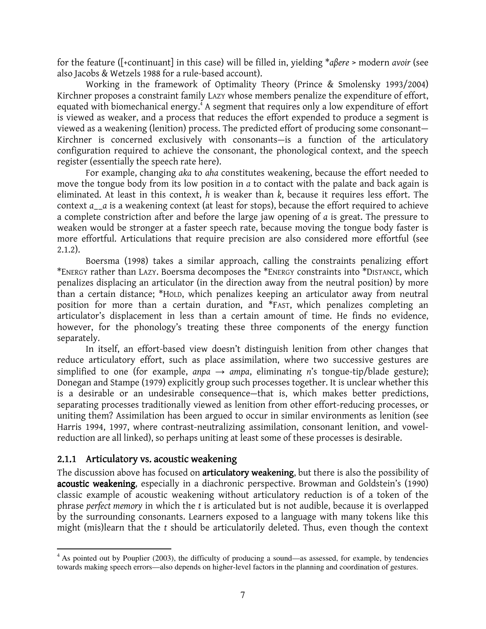for the feature ([+continuant] in this case) will be filled in, yielding \*aßere > modern avoir (see also Jacobs & Wetzels 1988 for a rule-based account).

Working in the framework of Optimality Theory (Prince & Smolensky 1993/2004) Kirchner proposes a constraint family LAzy whose members penalize the expenditure of effort, equated with biomechanical energy.<sup>4</sup> A segment that requires only a low expenditure of effort is viewed as weaker, and a process that reduces the effort expended to produce a segment is viewed as a weakening (lenition) process. The predicted effort of producing some consonant— Kirchner is concerned exclusively with consonants—is a function of the articulatory configuration required to achieve the consonant, the phonological context, and the speech register (essentially the speech rate here).

For example, changing aka to aha constitutes weakening, because the effort needed to move the tongue body from its low position in a to contact with the palate and back again is eliminated. At least in this context,  $h$  is weaker than  $k$ , because it requires less effort. The context  $a_{-}a$  is a weakening context (at least for stops), because the effort required to achieve a complete constriction after and before the large jaw opening of  $a$  is great. The pressure to weaken would be stronger at a faster speech rate, because moving the tongue body faster is more effortful. Articulations that require precision are also considered more effortful (see  $(2.1.2)$ .

Boersma (1998) takes a similar approach, calling the constraints penalizing effort  $^*$ Energy rather than Lazy. Boersma decomposes the  $^*$ Energy constraints into  $^*$ Dıs $\,$ ance, which  $\,$ penalizes displacing an articulator (in the direction away from the neutral position) by more than a certain distance; \*H0LD, which penalizes keeping an articulator away from neutral position for more than a certain duration, and \*FAST, which penalizes completing an articulator's displacement in less than a certain amount of time. He finds no evidence, however, for the phonology's treating these three components of the energy function separately.

In itself, an effort-based view doesn't distinguish lenition from other changes that reduce articulatory effort, such as place assimilation, where two successive gestures are simplified to one (for example, anpa  $\rightarrow$  ampa, eliminating n's tongue-tip/blade gesture); Donegan and Stampe (1979) explicitly group such processes together. It is unclear whether this is a desirable or an undesirable consequence—that is, which makes better predictions, separating processes traditionally viewed as lenition from other effort-reducing processes, or uniting them? Assimilation has been argued to occur in similar environments as lenition (see Harris 1994, 1997, where contrast-neutralizing assimilation, consonant lenition, and vowelreduction are all linked), so perhaps uniting at least some of these processes is desirable.

### 2.1.1 Articulatory vs. acoustic weakening

The discussion above has focused on **articulatory weakening**, but there is also the possibility of **acoustic weakening**, especially in a diachronic perspective. Browman and Goldstein's (1990) classic example of acoustic weakening without articulatory reduction is of a token of the phrase *perfect memory* in which the  $t$  is articulated but is not audible, because it is overlappeo by the surrounding consonants. Learners exposed to a language with many tokens like this might (mis)learn that the  $t$  should be articulatorily deleted. Thus, even though the context

 $4$  As pointed out by Pouplier (2003), the difficulty of producing a sound—as assessed, for example, by tendencies towards making speech errors—also depends on higher-level factors in the planning and coordination of gestures.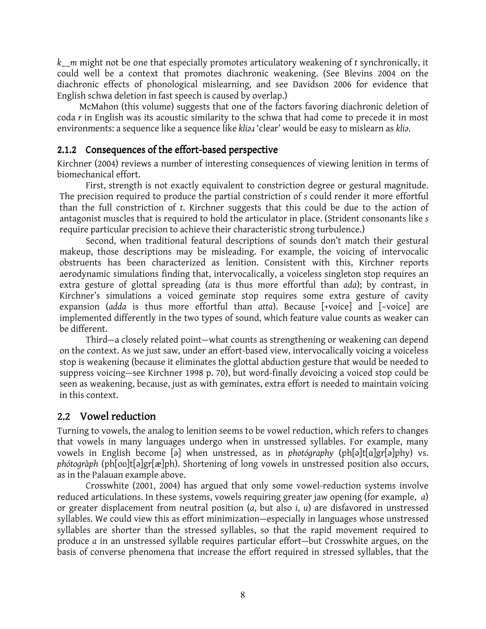$k$  *m* might not be one that especially promotes articulatory weakening of t synchronically, it could well be a context that promotes diachronic weakening. (See Blevins 2004 on the diachronic effects of phonological mislearning, and see Davidson 2006 for evidence that English schwa deletion in fast speech is caused by overlap.)

McMahon (this volume) suggests that one of the factors favoring diachronic deletion of coda r in English was its acoustic similarity to the schwa that had come to precede it in most environments: a sequence like a sequence like kliaz 'clear' would be easy to mislearn as klia.

### 2.1.2 Consequences of the effort-based perspective

Kirchner (2004) reviews a number of interesting consequences of viewing lenition in terms of biomechanical effort.

First, strength is not exactly equivalent to constriction degree or gestural magnitude. The precision required to produce the partial constriction of s could render it more effortful than the full constriction of t. Kirchner suggests that this could be due to the action of antagonist muscles that is required to hold the articulator in place. (Strident consonants like s require particular precision to achieve their characteristic strong turbulence.)

Second, when traditional featural descriptions of sounds don't match their gestural makeup, those descriptions may be misleading. For example, the voicing of intervocalic obstruents has been characterized as lenition. Consistent with this, Kirchner reports aerodynamic simulations finding that, intervocalically, a voiceless singleton stop requires an extra gesture of glottal spreading (ata is thus more effortful than ada); by contrast, in Kirchner's simulations a voiced geminate stop requires some extra gesture of cavity expansion (adda is thus more effortful than atta). Because [+voice] and [-voice] are implemented differently in the two types of sound, which feature value counts as weaker can be different.

Third—a closely related point—what counts as strengthening or weakening can depend on the context. As we just saw, under an effort-based view, intervocalically voicing a voiceless stop is weakening (because it eliminates the glottal abduction gesture that would be needed to suppress voicing-see Kirchner 1998 p. 70), but word-finally devoicing a voiced stop could be seen as weakening, because, just as with geminates, extra effort is needed to maintain voicing in this context.

## 2.2 Vowel reduction

Turning to vowels, the analog to lenition seems to be vowel reduction, which refers to changes that vowels in many languages undergo when in unstressed syllables. For example, many vowels in English become [ə] when unstressed, as in photógraphy (ph[ə]t[a]gr[ə]phy) vs. phótogràph (ph[ov]t[a]gr[æ]ph). Shortening of long vowels in unstressed position also occurs, as in the Palauan example above.

Crosswhite (2001, 2004) has argued that only some vowel-reduction systems involve reduced articulations. In these systems, vowels requiring greater jaw opening (for example, a) or greater displacement from neutral position  $(a, but$  also  $i, u$ ) are disfavored in unstressed syllables. We could view this as effort minimization-especially in languages whose unstressed syllables are shorter than the stressed syllables, so that the rapid movement required to produce a in an unstressed syllable requires particular effort-but Crosswhite argues, on the basis of converse phenomena that increase the effort required in stressed syllables, that the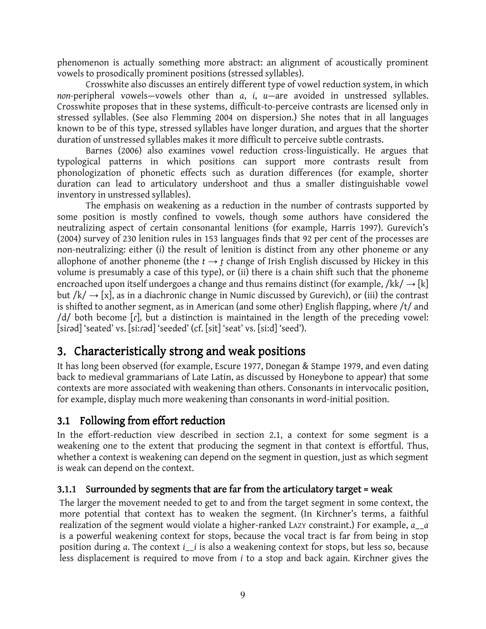phenomenon is actually something more abstract: an alignment of acoustically prominent vowels to prosodically prominent positions (stressed syllables).

Crosswhite also discusses an entirely different type of vowel reduction system, in which non-peripheral vowels-vowels other than a, i, u-are avoided in unstressed syllables. Crosswhite proposes that in these systems, difficult-to-perceive contrasts are licensed only in stressed syllables. (See also Flemming 2004 on dispersion.) She notes that in all languages known to be of this type, stressed syllables have longer duration, and argues that the shorter duration of unstressed syllables makes it more difficult to perceive subtle contrasts.

Barnes (2006) also examines vowel reduction cross-linguistically. He argues that typological patterns in which positions can support more contrasts result from phonologization of phonetic effects such as duration differences (for example, shorter duration can lead to articulatory undershoot and thus a smaller distinguishable vowel inventory in unstressed syllables).

The emphasis on weakening as a reduction in the number of contrasts supported by some position is mostly confined to vowels, though some authors have considered the neutralizing aspect of certain consonantal lenitions (for example, Harris 1997). Gurevich's (2004) survey of 230 lenition rules in 153 languages finds that 92 per cent of the processes are non-neutralizing: either (i) the result of lenition is distinct from any other phoneme or any allophone of another phoneme (the  $t \rightarrow t$  change of Irish English discussed by Hickey in this volume is presumably a case of this type), or (ii) there is a chain shift such that the phoneme encroached upon itself undergoes a change and thus remains distinct (for example, /kk/  $\rightarrow$  [k] but  $/k/ \rightarrow [x]$ , as in a diachronic change in Numic discussed by Gurevich), or (iii) the contrast is shifted to another segment, as in American (and some other) English flapping, where /t/ and  $\frac{d}{d}$  both become [c], but a distinction is maintained in the length of the preceding vowel: [sirad] 'seated' vs. [siːrad] 'seeded' (cf. [sit] 'seat' vs. [siːd] 'seed').

# 3. Characteristically strong and weak positions

It has long been observed (for example, Escure 1977, Donegan & Stampe 1979, and even dating back to medieval grammarians of Late Latin, as discussed by Honeybone to appear) that some contexts are more associated with weakening than others. Consonants in intervocalic position, for example, display much more weakening than consonants in word-initial position.

## 3.1 Following from effort reduction

In the effort-reduction view described in section 2.1, a context for some segment is a weakening one to the extent that producing the segment in that context is effortful. Thus, whether a context is weakening can depend on the segment in question, just as which segment is weak can depend on the context.

## 3.1.1 Surrounded by segments that are far from the articulatory target = weak

The larger the movement needed to get to and from the target segment in some context, the more potential that context has to weaken the segment. (In Kirchner's terms, a faithful realization of the segment would violate a higher-ranked LAZY constraint.) For example,  $a_{-}a$ is a powerful weakening context for stops, because the vocal tract is far from being in stop position during a. The context i\_i is also a weakening context for stops, but less so, because less displacement is required to move from *i* to a stop and back again. Kirchner gives the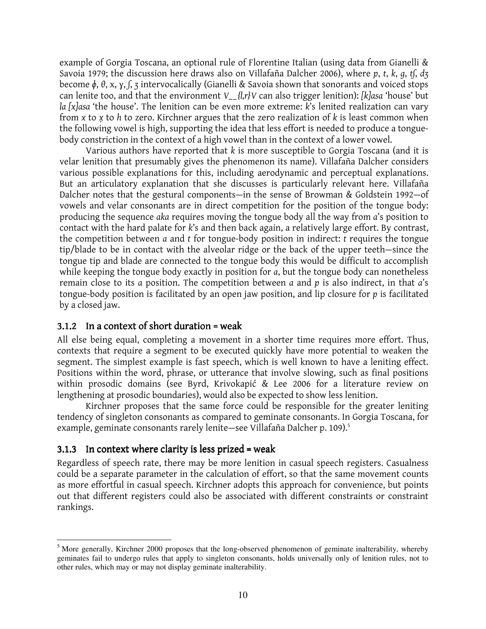example of Gorgia Toscana, an optional rule of Florentine Italian (using data from Gianelli  $\wr$ Savoia 1979; the discussion here draws also on Villafaña Dalcher 2006), where p, t, k, g, tf, dz become  $\phi$ ,  $\theta$ , x, y, ∫, ʒ intervocalically (Gianelli & Savoia shown that sonorants and voiced stops can lenite too, and that the environment V\_\_{l,r}V can also trigger lenition): [k]asa 'house' but la [x]asa 'the house'. The lenition can be even more extreme: k's lenited realization can vary from x to x to h to zero. Kirchner argues that the zero realization of  $k$  is least common when the following vowel is high, supporting the idea that less effort is needed to produce a tonguebody constriction in the context of a high vowel than in the context of a lower vowel.

Various authors have reported that  $k$  is more susceptible to Gorgia Toscana (and it is velar lenition that presumably gives the phenomenon its name). Villafaña Dalcher considers various possible explanations for this, including aerodynamic and perceptual explanations. But an articulatory explanation that she discusses is particularly relevant here. Villafaña Dalcher notes that the gestural components—in the sense of Browman & Goldstein 1992—of vowels and velar consonants are in direct competition for the position of the tongue body: producing the sequence aka requires moving the tongue body all the way from a's position to contact with the hard palate for k's and then back again, a relatively large effort. By contrast, the competition between  $a$  and  $t$  for tongue-body position in indirect:  $t$  requires the tongue tip/blade to be in contact with the alveolar ridge or the back of the upper teeth—since the tongue tip and blade are connected to the tongue body this would be difficult to accomplish while keeping the tongue body exactly in position for a, but the tongue body can nonetheless remain close to its a position. The competition between a and  $p$  is also indirect, in that a's tongue-body position is facilitated by an open jaw position, and lip closure for  $p$  is facilitated by a closed jaw.

#### 3.1.2 In a context of short duration = weak

All else being equal, completing a movement in a shorter time requires more effort. Thus, contexts that require a segment to be executed quickly have more potential to weaken the segment. The simplest example is fast speech, which is well known to have a leniting effect. Positions within the word, phrase, or utterance that involve slowing, such as final positions within prosodic domains (see Byrd, Krivokapić & Lee 2006 for a literature review on lengthening at prosodic boundaries), would also be expected to show less lenition.

Kirchner proposes that the same force could be responsible for the greater leniting tendency of singleton consonants as compared to geminate consonants. In Gorgia Toscana, for example, geminate consonants rarely lenite-see Villafaña Dalcher p. 109).<sup>5</sup>

## 3.1.3 In context where clarity is less prized = weak

Regardless of speech rate, there may be more lenition in casual speech registers. Casualness could be a separate parameter in the calculation of effort, so that the same movement counts as more effortful in casual speech. Kirchner adopts this approach for convenience, but points out that different registers could also be associated with different constraints or constraint rankings.

<sup>&</sup>lt;sup>5</sup> More generally, Kirchner 2000 proposes that the long-observed phenomenon of geminate inalterability, whereby geminates fail to undergo rules that apply to singleton consonants, holds universally only of lenition rules, not to other rules, which may or may not display geminate inalterability.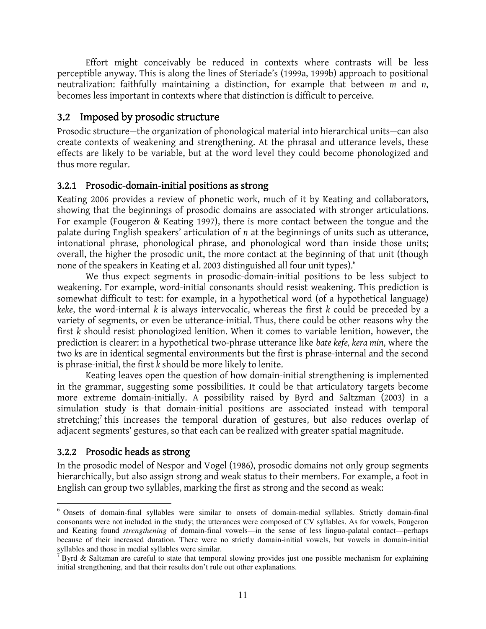Effort might conceivably be reduced in contexts where contrasts will be less perceptible anyway. This is along the lines of Steriade's (1999a, 1999b) approach to positional neutralization: faithfully maintaining a distinction, for example that between m and n, becomes less important in contexts where that distinction is difficult to perceive.

## 3.2 Imposed by prosodic structure

Prosodic structure—the organization of phonological material into hierarchical units—can also create contexts of weakening and strengthening. At the phrasal and utterance levels, these effects are likely to be variable, but at the word level they could become phonologized and thus more regular.

### 3.2.1 Prosodic-domain-initial positions as strong

Keating 2006 provides a review of phonetic work, much of it by Keating and collaborators, showing that the beginnings of prosodic domains are associated with stronger articulations. For example (Fougeron & Keating 1997), there is more contact between the tongue and the palate during English speakers' articulation of  $n$  at the beginnings of units such as utterance, intonational phrase, phonological phrase, and phonological word than inside those units; overall, the higher the prosodic unit, the more contact at the beginning of that unit (though none of the speakers in Keating et al. 2003 distinguished all four unit types).6

We thus expect segments in prosodic-domain-initial positions to be less subject to weakening. For example, word-initial consonants should resist weakening. This prediction is somewhat difficult to test: for example, in a hypothetical word (of a hypothetical language) keke, the word-internal  $k$  is always intervocalic, whereas the first  $k$  could be preceded by a variety of segments, or even be utterance-initial. Thus, there could be other reasons why the first k should resist phonologized lenition. When it comes to variable lenition, however, the prediction is clearer: in a hypothetical two-phrase utterance like bate kefe, kera min, where the two  $k$ s are in identical segmental environments but the first is phrase-internal and the secono is phrase-initial, the first  $k$  should be more likely to lenite.

Keating leaves open the question of how domain-initial strengthening is implementeo in the grammar, suggesting some possibilities. It could be that articulatory targets become more extreme domain-initially. A possibility raised by Byrd and Saltzman (2003) in a simulation study is that domain-initial positions are associated instead with temporal stretching;<sup>7</sup> this increases the temporal duration of gestures, but also reduces overlap of adjacent segments' gestures, so that each can be realized with greater spatial magnitude.

### 3.2.2 Prosodic heads as strong

In the prosodic model of Nespor and Vogel (1986), prosodic domains not only group segments hierarchically, but also assign strong and weak status to their members. For example, a foot in English can group two syllables, marking the first as strong and the second as weak:

<sup>6</sup> Onsets of domain-final syllables were similar to onsets of domain-medial syllables. Strictly domain-final consonants were not included in the study; the utterances were composed of CV syllables. As for vowels, Fougeron and Keating found *strengthening* of domain-final vowels—in the sense of less linguo-palatal contact—perhaps because of their increased duration. There were no strictly domain-initial vowels, but vowels in domain-initial syllables and those in medial syllables were similar.

 $^7$  Byrd & Saltzman are careful to state that temporal slowing provides just one possible mechanism for explaining initial strengthening, and that their results don't rule out other explanations.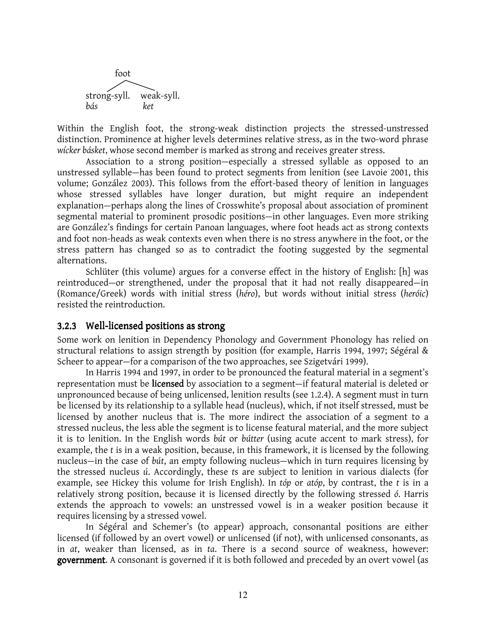

Within the English foot, the strong-weak distinction projects the stressed-unstressed distinction. Prominence at higher levels determines relative stress, as in the two-word phrase wicker básket, whose second member is marked as strong and receives greater stress.

Association to a strong position-especially a stressed syllable as opposed to an unstressed syllable—has been found to protect segments from lenition (see Lavoie 2001, this volume; González 2003). This follows from the effort-based theory of lenition in languages whose stressed syllables have longer duration, but might require an independent explanation-perhaps along the lines of Crosswhite's proposal about association of prominent segmental material to prominent prosodic positions—in other languages. Even more striking are González's findings for certain Panoan languages, where foot heads act as strong contexts and foot non-heads as weak contexts even when there is no stress anywhere in the foot, or the stress pattern has changed so as to contradict the footing suggested by the segmental alternations.

Schlüter (this volume) argues for a converse effect in the history of English: [h] was reintroduced—or strengthened, under the proposal that it had not really disappeared—in (Romance/Greek) words with initial stress (héro), but words without initial stress (heróic) resisted the reintroduction.

#### 3.2.3 Well-licensed positions as strong

Some work on lenition in Dependency Phonology and Government Phonology has relied on structural relations to assign strength by position (for example, Harris 1994, 1997; Ségéral & Scheer to appear-for a comparison of the two approaches, see Szigetvári 1999).

In Harris 1994 and 1997, in order to be pronounced the featural material in a segment's representation must be licensed by association to a segment-if featural material is deleted or unpronounced because of being unlicensed, lenition results (see 1.2.4). A segment must in turn be licensed by its relationship to a syllable head (nucleus), which, if not itself stressed, must be licensed by another nucleus that is. The more indirect the association of a segment to a stressed nucleus, the less able the segment is to license featural material, and the more subject it is to lenition. In the English words but or butter (using acute accent to mark stress), for example, the t is in a weak position, because, in this framework, it is licensed by the following nucleus—in the case of bút, an empty following nucleus—which in turn requires licensing by the stressed nucleus *ú*. Accordingly, these ts are subject to lenition in various dialects (for example, see Hickey this volume for Irish English). In tóp or atóp, by contrast, the t is in a relatively strong position, because it is licensed directly by the following stressed ó. Harris extends the approach to vowels: an unstressed vowel is in a weaker position because it requires licensing by a stressed vowel.

In Ségéral and Schemer's (to appear) approach, consonantal positions are either licensed (if followed by an overt vowel) or unlicensed (if not), with unlicensed consonants, as in at, weaker than licensed, as in ta. There is a second source of weakness, however: government. A consonant is governed if it is both followed and preceded by an overt vowel (as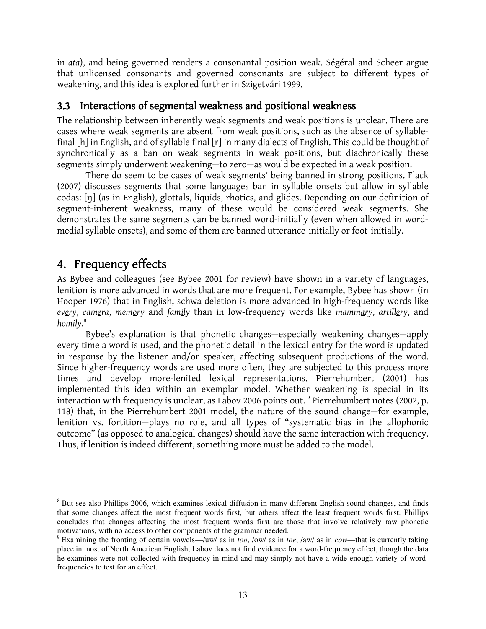in ata), and being governed renders a consonantal position weak. Ségéral and Scheer argue that unlicensed consonants and governed consonants are subject to different types of weakening, and this idea is explored further in Szigetvári 1999.

## 3.3 Interactions of segmental weakness and positional weakness

The relationship between inherently weak segments and weak positions is unclear. There are cases where weak segments are absent from weak positions, such as the absence of syllablefinal [h] in English, and of syllable final [r] in many dialects of English. This could be thought of synchronically as a ban on weak segments in weak positions, but diachronically these segments simply underwent weakening—to zero—as would be expected in a weak position.

There do seem to be cases of weak segments' being banned in strong positions. Flack (2007) discusses segments that some languages ban in syllable onsets but allow in syllable  $\,$  codas: [ŋ] (as in English), glottals, liquids, rhotics, and glides. Depending on our definition of segment-inherent weakness, many of these would be considered weak segments. She demonstrates the same segments can be banned word-initially (even when allowed in wordmedial syllable onsets), and some of them are banned utterance-initially or foot-initially.

# 4. Frequency effects

As Bybee and colleagues (see Bybee 2001 for review) have shown in a variety of languages, lenition is more advanced in words that are more frequent. For example, Bybee has shown (in Hooper 1976) that in English, schwa deletion is more advanced in high-frequency words like every, camera, memory and family than in low-frequency words like mammary, artillery, and homily.<sup>8</sup>

Bybee's explanation is that phonetic changes—especially weakening changes—apply every time a word is used, and the phonetic detail in the lexical entry for the word is updated in response by the listener and/or speaker, affecting subsequent productions of the word. Since higher-frequency words are used more often, they are subjected to this process more times and develop more-lenited lexical representations. Pierrehumbert (2001) has implemented this idea within an exemplar model. Whether weakening is special in its interaction with frequency is unclear, as Labov 2006 points out. <sup>9</sup> Pierrehumbert notes (2002, p. 118) that, in the Pierrehumbert 2001 model, the nature of the sound change–for example, lenition vs. fortition—plays no role, and all types of "systematic bias in the allophonic outcome" (as opposed to analogical changes) should have the same interaction with frequency. Thus, if lenition is indeed different, something more must be added to the model.

<sup>&</sup>lt;sup>8</sup> But see also Phillips 2006, which examines lexical diffusion in many different English sound changes, and finds that some changes affect the most frequent words first, but others affect the least frequent words first. Phillips concludes that changes affecting the most frequent words first are those that involve relatively raw phonetic motivations, with no access to other components of the grammar needed.

<sup>9</sup> Examining the fronting of certain vowels—/uw/ as in *too*, /ow/ as in *toe*, /aw/ as in *cow*—that is currently taking place in most of North American English, Labov does not find evidence for a word-frequency effect, though the data he examines were not collected with frequency in mind and may simply not have a wide enough variety of wordfrequencies to test for an effect.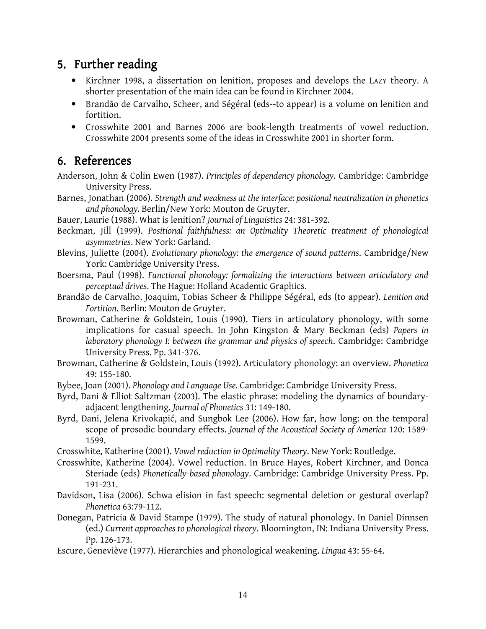# 5. Further reading

- Kirchner 1998, a dissertation on lenition, proposes and develops the LAZY theory. A shorter presentation of the main idea can be found in Kirchner 2004.
- Brandão de Carvalho, Scheer, and Ségéral (eds--to appear) is a volume on lenition and fortition.
- Crosswhite 2001 and Barnes 2006 are book-length treatments of vowel reduction. Crosswhite 2004 presents some of the ideas in Crosswhite 2001 in shorter form.

# 6. References

Anderson, John & Colin Ewen (1987). Principles of dependency phonology. Cambridge: Cambridge University Press.

Barnes, Jonathan (2006). Strength and weakness at the interface: positional neutralization in phonetics and phonology. Berlin/New York: Mouton de Gruyter.

Bauer, Laurie (1988). What is lenition? Journal of Linguistics 24: 381-392.

- Beckman, Jill (1999). Positional faithfulness: an Optimality Theoretic treatment of phonological asymmetries. New York: Garland.
- Blevins, Juliette (2004). Evolutionary phonology: the emergence of sound patterns. Cambridge/New York: Cambridge University Press.
- Boersma, Paul (1998). Functional phonology: formalizing the interactions between articulatory and perceptual drives. The Hague: Holland Academic Graphics.
- Brandão de Carvalho, Joaquim, Tobias Scheer & Philippe Ségéral, eds (to appear). Lenition and Fortition. Berlin: Mouton de Gruyter.
- Browman, Catherine & Goldstein, Louis (1990). Tiers in articulatory phonology, with some implications for casual speech. In John Kingston & Mary Beckman (eds) Papers in laboratory phonology I: between the grammar and physics of speech. Cambridge: Cambridge University Press. Pp. 341-376.
- Browman, Catherine & Goldstein, Louis (1992). Articulatory phonology: an overview. Phonetica 49: 155-180.
- Bybee, Joan (2001). Phonology and Language Use. Cambridge: Cambridge University Press.
- Byrd, Dani & Elliot Saltzman (2003). The elastic phrase: modeling the dynamics of boundaryadjacent lengthening. Journal of Phonetics 31: 149-180.
- Byrd, Dani, Jelena Krivokapić, and Sungbok Lee (2006). How far, how long: on the temporal scope of prosodic boundary effects. Journal of the Acoustical Society of America 120: 1589-1599.
- Crosswhite, Katherine (2001). Vowel reduction in Optimality Theory. New York: Routledge.
- Crosswhite, Katherine (2004). Vowel reduction. In Bruce Hayes, Robert Kirchner, and Donca Steriade (eds) Phonetically-based phonology. Cambridge: Cambridge University Press. Pp.  $191 - 231.$
- Davidson, Lisa (2006). Schwa elision in fast speech: segmental deletion or gestural overlap? Phonetica 63:79-112.
- Donegan, Patricia & David Stampe (1979). The study of natural phonology. In Daniel Dinnsen (ed.) Current approaches to phonological theory. Bloomington, IN: Indiana University Press. Pp. 126-173.
- Escure, Geneviève (1977). Hierarchies and phonological weakening. Lingua 43: 55-64.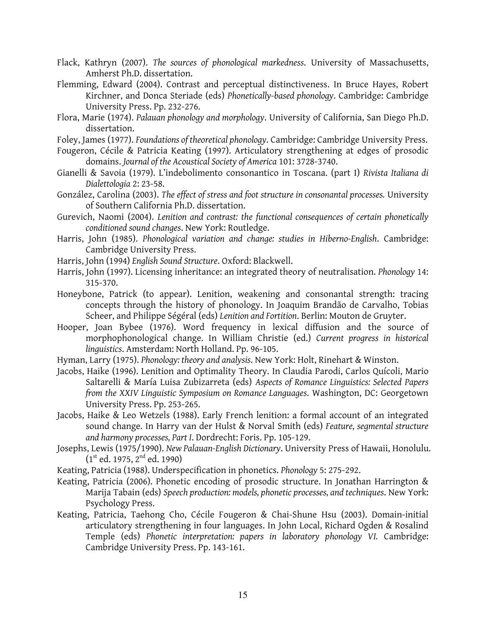- Flack, Kathryn (2007). The sources of phonological markedness. University of Massachusetts, Amherst Ph.D. dissertation.
- Flemming, Edward (2004). Contrast and perceptual distinctiveness. In Bruce Hayes, Robert Kirchner, and Donca Steriade (eds) Phonetically-based phonology. Cambridge: Cambridge University Press. Pp. 232-276.
- Flora, Marie (1974). Palauan phonology and morphology. University of California, San Diego Ph.D. dissertation.
- Foley, James (1977). Foundations of theoretical phonology. Cambridge: Cambridge University Press.
- Fougeron, Cécile & Patricia Keating (1997). Articulatory strengthening at edges of prosodic domains. Journal of the Acoustical Society of America 101: 3728-3740.
- Gianelli & Savoia (1979). L'indebolimento consonantico in Toscana. (part I) Rivista Italiana di Dialettologia 2: 23-58.
- González, Carolina (2003). The effect of stress and foot structure in consonantal processes. University of Southern California Ph.D. dissertation.
- Gurevich, Naomi (2004). Lenition and contrast: the functional consequences of certain phonetically conditioned sound changes. New York: Routledge.
- Harris, John (1985). Phonological variation and change: studies in Hiberno-English. Cambridge: Cambridge University Press.
- Harris, John (1994) English Sound Structure. Oxford: Blackwell.
- Harris, John (1997). Licensing inheritance: an integrated theory of neutralisation. *Phonology* 14: 315-370.
- Honeybone, Patrick (to appear). Lenition, weakening and consonantal strength: tracing concepts through the history of phonology. In Joaquim Brandão de Carvalho, Tobias Scheer, and Philippe Ségéral (eds) Lenition and Fortition. Berlin: Mouton de Gruyter.
- Hooper, Joan Bybee (1976). Word frequency in lexical diffusion and the source of morphophonological change. In William Christie (ed.) Current progress in historical linguistics. Amsterdam: North Holland. Pp. 96-105.
- Hyman, Larry (1975). Phonology: theory and analysis. New York: Holt, Rinehart & Winston.
- Jacobs, Haike (1996). Lenition and Optimality Theory. In Claudia Parodi, Carlos Quícoli, Mario Saltarelli & María Luisa Zubizarreta (eds) Aspects of Romance Linguistics: Selected Papers from the XXIV Linguistic Symposium on Romance Languages. Washington, DC: Georgetown University Press. Pp. 253-265.
- Jacobs, Haike & Leo Wetzels (1988). Early French lenition: a formal account of an integrated sound change. In Harry van der Hulst & Norval Smith (eds) Feature, segmental structure and harmony processes, Part I. Dordrecht: Foris. Pp. 105-129.
- Iosephs. Lewis (1975/1990). New Palauan-English Dictionary. University Press of Hawaii, Honolulu.  $(1<sup>st</sup>$  ed. 1975, 2<sup>nd</sup> ed. 1990)
- Keating, Patricia (1988). Underspecification in phonetics. Phonology 5: 275-292.
- Keating, Patricia (2006). Phonetic encoding of prosodic structure. In Jonathan Harrington & Marija Tabain (eds) Speech production: models, phonetic processes, and techniques. New York: Psychology Press.
- Keating, Patricia, Taehong Cho, Cécile Fougeron & Chai-Shune Hsu (2003). Domain-initial articulatory strengthening in four languages. In John Local, Richard Ogden & Rosalind Temple (eds) Phonetic interpretation: papers in laboratory phonology VI. Cambridge: Cambridge University Press. Pp. 143-161.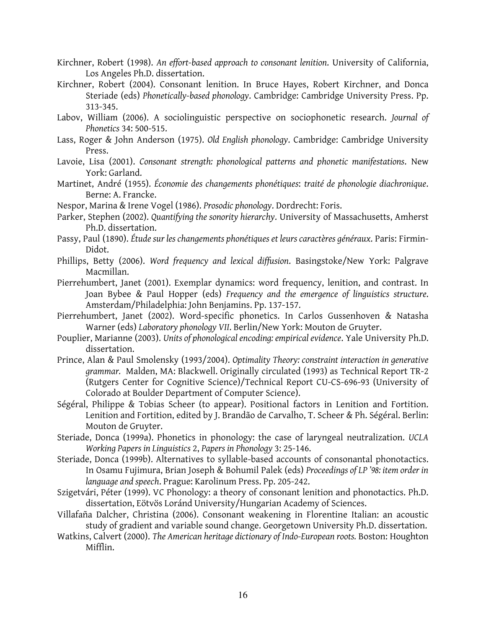- Kirchner, Robert (1998). An effort-based approach to consonant lenition. University of California, Los Angeles Ph.D. dissertation.
- Kirchner, Robert (2004). Consonant lenition. In Bruce Hayes, Robert Kirchner, and Donca Steriade (eds) Phonetically-based phonology. Cambridge: Cambridge University Press. Pp.  $313 - 345.$
- Labov, William (2006). A sociolinguistic perspective on sociophonetic research. Journal of Phonetics 34: 500-515.
- Lass, Roger & John Anderson (1975). Old English phonology. Cambridge: Cambridge University Press.
- Lavoie, Lisa (2001). Consonant strength: phonological patterns and phonetic manifestations. New York: Garland.
- Martinet, André (1955). Économie des changements phonétiques: traité de phonologie diachronique. Berne: A. Francke.
- Nespor, Marina & Irene Vogel (1986). Prosodic phonology. Dordrecht: Foris.
- Parker, Stephen (2002). Quantifying the sonority hierarchy. University of Massachusetts, Amherst Ph.D. dissertation.
- Passy, Paul (1890). Étude sur les changements phonétiques et leurs caractères généraux. Paris: Firmin-Didot.
- Phillips, Betty (2006). Word frequency and lexical diffusion. Basingstoke/New York: Palgrave Macmillan.
- Pierrehumbert, Janet (2001). Exemplar dynamics: word frequency, lenition, and contrast. In Joan Bybee & Paul Hopper (eds) Frequency and the emergence of linguistics structure. Amsterdam/Philadelphia: John Benjamins. Pp. 137-157.
- Pierrehumbert, Janet (2002). Word-specific phonetics. In Carlos Gussenhoven & Natasha Warner (eds) Laboratory phonology VII. Berlin/New York: Mouton de Gruyter.
- Pouplier, Marianne (2003). Units of phonological encoding: empirical evidence. Yale University Ph.D. dissertation.
- Prince, Alan & Paul Smolensky (1993/2004). Optimality Theory: constraint interaction in generative grammar. Malden, MA: Blackwell. Originally circulated (1993) as Technical Report TR-2 (Rutgers Center for Cognitive Science)/Technical Report CU-CS-696-93 (University of Colorado at Boulder Department of Computer Science).
- Ségéral, Philippe & Tobias Scheer (to appear). Positional factors in Lenition and Fortition. Lenition and Fortition, edited by J. Brandão de Carvalho, T. Scheer & Ph. Ségéral. Berlin: Mouton de Gruyter.
- Steriade, Donca (1999a). Phonetics in phonology: the case of laryngeal neutralization. UCLA Working Papers in Linguistics 2, Papers in Phonology 3: 25-146.
- Steriade, Donca (1999b). Alternatives to syllable-based accounts of consonantal phonotactics. In Osamu Fujimura, Brian Joseph & Bohumil Palek (eds) Proceedings of LP '98: item order in language and speech. Prague: Karolinum Press. Pp. 205-242.
- Szigetvári, Péter (1999). VC Phonology: a theory of consonant lenition and phonotactics. Ph.D. dissertation, Eötvös Loránd University/Hungarian Academy of Sciences.
- Villafaña Dalcher, Christina (2006). Consonant weakening in Florentine Italian: an acoustic study of gradient and variable sound change. Georgetown University Ph.D. dissertation.
- Watkins, Calvert (2000). The American heritage dictionary of Indo-European roots. Boston: Houghton Mifflin.